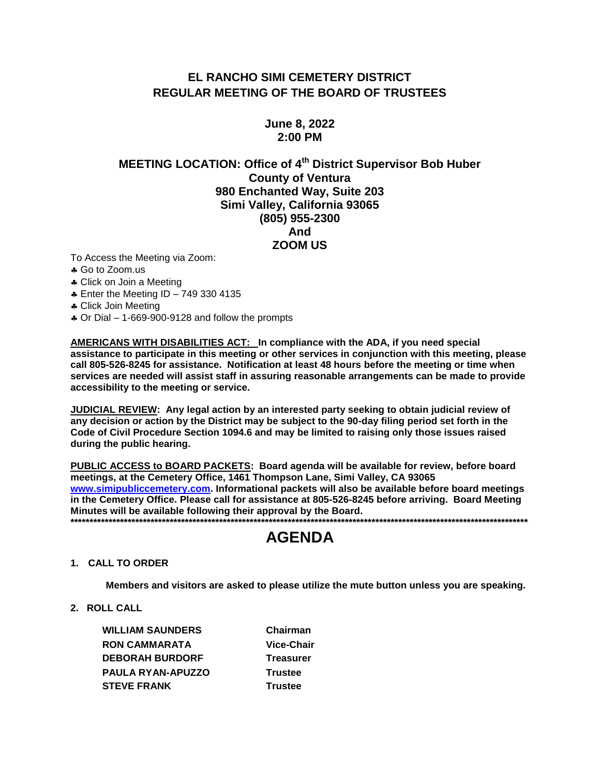# EL RANCHO SIMI CEMETERY DISTRICT **REGULAR MEETING OF THE BOARD OF TRUSTEES**

# **June 8, 2022**  $2:00$  PM

# **MEETING LOCATION: Office of 4<sup>th</sup> District Supervisor Bob Huber County of Ventura** 980 Enchanted Way, Suite 203 Simi Valley, California 93065 (805) 955-2300 And **ZOOM US**

To Access the Meeting via Zoom:

- ♣ Go to Zoom.us
- \* Click on Join a Meeting
- **4 Enter the Meeting ID 749 330 4135**
- \* Click Join Meeting
- $\clubsuit$  Or Dial 1-669-900-9128 and follow the prompts

AMERICANS WITH DISABILITIES ACT: In compliance with the ADA, if you need special assistance to participate in this meeting or other services in conjunction with this meeting, please call 805-526-8245 for assistance. Notification at least 48 hours before the meeting or time when services are needed will assist staff in assuring reasonable arrangements can be made to provide accessibility to the meeting or service.

JUDICIAL REVIEW: Any legal action by an interested party seeking to obtain judicial review of any decision or action by the District may be subject to the 90-day filing period set forth in the Code of Civil Procedure Section 1094.6 and may be limited to raising only those issues raised during the public hearing.

PUBLIC ACCESS to BOARD PACKETS: Board agenda will be available for review, before board meetings, at the Cemetery Office, 1461 Thompson Lane, Simi Valley, CA 93065 www.simipubliccemetery.com. Informational packets will also be available before board meetings in the Cemetery Office. Please call for assistance at 805-526-8245 before arriving. Board Meeting Minutes will be available following their approval by the Board. 

# **AGENDA**

## 1. CALL TO ORDER

Members and visitors are asked to please utilize the mute button unless you are speaking.

2. ROLL CALL

**WILLIAM SAUNDERS RON CAMMARATA DEBORAH BURDORF** PAULA RYAN-APUZZO **STEVE FRANK** 

Chairman Vice-Chair **Treasurer Trustee Trustee**